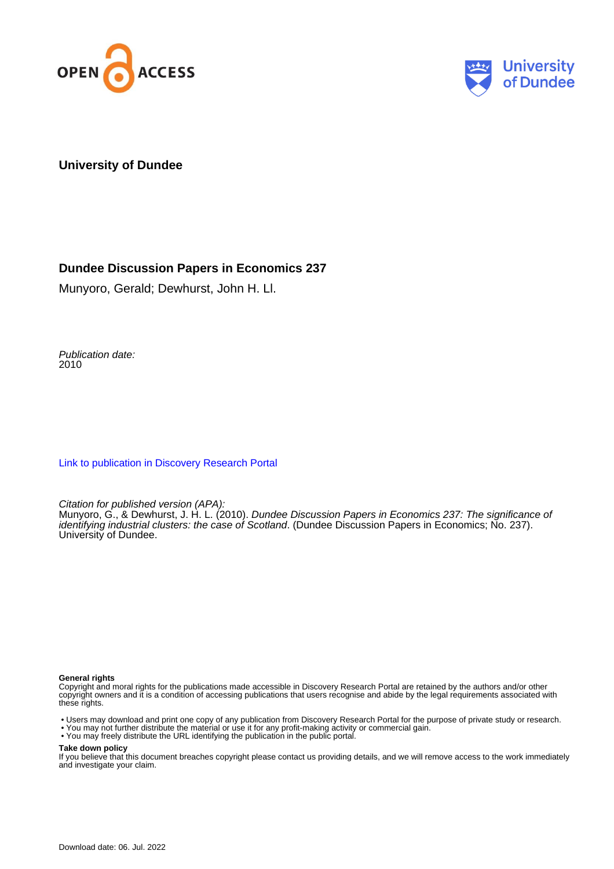



#### **University of Dundee**

#### **Dundee Discussion Papers in Economics 237**

Munyoro, Gerald; Dewhurst, John H. Ll.

Publication date: 2010

[Link to publication in Discovery Research Portal](https://discovery.dundee.ac.uk/en/publications/c0a4ce8c-6da5-437a-b4c3-865b06f3d78e)

Citation for published version (APA):

Munyoro, G., & Dewhurst, J. H. L. (2010). Dundee Discussion Papers in Economics 237: The significance of identifying industrial clusters: the case of Scotland. (Dundee Discussion Papers in Economics; No. 237). University of Dundee.

#### **General rights**

Copyright and moral rights for the publications made accessible in Discovery Research Portal are retained by the authors and/or other copyright owners and it is a condition of accessing publications that users recognise and abide by the legal requirements associated with these rights.

• Users may download and print one copy of any publication from Discovery Research Portal for the purpose of private study or research.

- You may not further distribute the material or use it for any profit-making activity or commercial gain.
- You may freely distribute the URL identifying the publication in the public portal.

#### **Take down policy**

If you believe that this document breaches copyright please contact us providing details, and we will remove access to the work immediately and investigate your claim.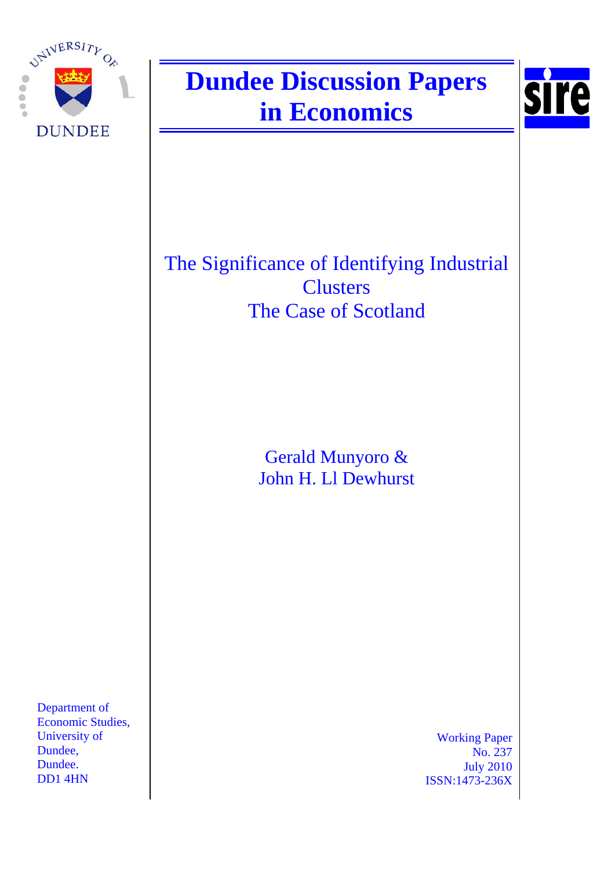

# **Dundee Discussion Papers in Economics**



The Significance of Identifying Industrial **Clusters** The Case of Scotland

> Gerald Munyoro & John H. Ll Dewhurst

Department of Economic Studies, University of Dundee, Dundee. DD1 4HN

Working Paper No. 237 July 2010 ISSN:1473-236X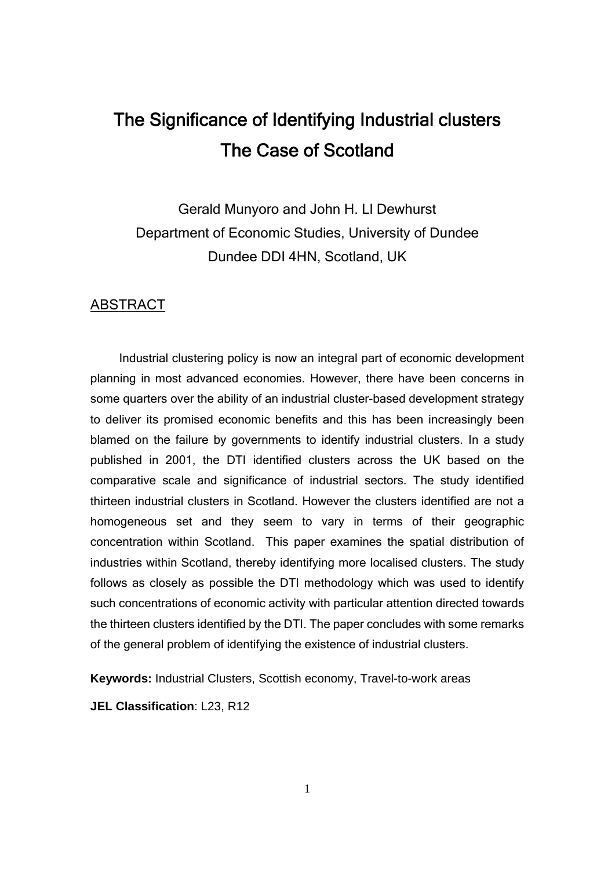# The Significance of Identifying Industrial clusters The Case of Scotland

Gerald Munyoro and John H. Ll Dewhurst Department of Economic Studies, University of Dundee Dundee DDI 4HN, Scotland, UK

#### ABSTRACT

 Industrial clustering policy is now an integral part of economic development planning in most advanced economies. However, there have been concerns in some quarters over the ability of an industrial cluster-based development strategy to deliver its promised economic benefits and this has been increasingly been blamed on the failure by governments to identify industrial clusters. In a study published in 2001, the DTI identified clusters across the UK based on the comparative scale and significance of industrial sectors. The study identified thirteen industrial clusters in Scotland. However the clusters identified are not a homogeneous set and they seem to vary in terms of their geographic concentration within Scotland. This paper examines the spatial distribution of industries within Scotland, thereby identifying more localised clusters. The study follows as closely as possible the DTI methodology which was used to identify such concentrations of economic activity with particular attention directed towards the thirteen clusters identified by the DTI. The paper concludes with some remarks of the general problem of identifying the existence of industrial clusters.

**Keywords:** Industrial Clusters, Scottish economy, Travel-to-work areas

**JEL Classification**: L23, R12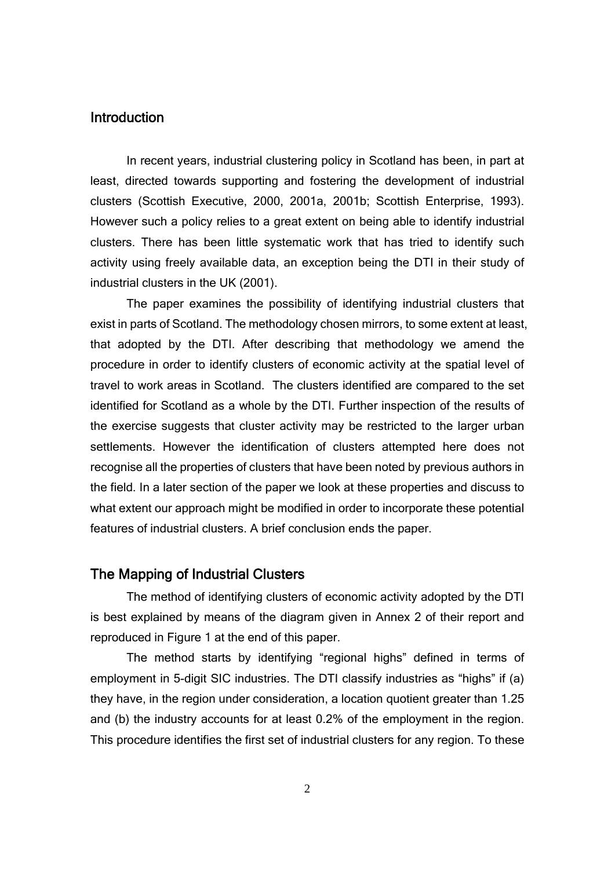#### **Introduction**

In recent years, industrial clustering policy in Scotland has been, in part at least, directed towards supporting and fostering the development of industrial clusters (Scottish Executive, 2000, 2001a, 2001b; Scottish Enterprise, 1993). However such a policy relies to a great extent on being able to identify industrial clusters. There has been little systematic work that has tried to identify such activity using freely available data, an exception being the DTI in their study of industrial clusters in the UK (2001).

The paper examines the possibility of identifying industrial clusters that exist in parts of Scotland. The methodology chosen mirrors, to some extent at least, that adopted by the DTI. After describing that methodology we amend the procedure in order to identify clusters of economic activity at the spatial level of travel to work areas in Scotland. The clusters identified are compared to the set identified for Scotland as a whole by the DTI. Further inspection of the results of the exercise suggests that cluster activity may be restricted to the larger urban settlements. However the identification of clusters attempted here does not recognise all the properties of clusters that have been noted by previous authors in the field. In a later section of the paper we look at these properties and discuss to what extent our approach might be modified in order to incorporate these potential features of industrial clusters. A brief conclusion ends the paper.

#### The Mapping of Industrial Clusters

The method of identifying clusters of economic activity adopted by the DTI is best explained by means of the diagram given in Annex 2 of their report and reproduced in Figure 1 at the end of this paper.

The method starts by identifying "regional highs" defined in terms of employment in 5-digit SIC industries. The DTI classify industries as "highs" if (a) they have, in the region under consideration, a location quotient greater than 1.25 and (b) the industry accounts for at least 0.2% of the employment in the region. This procedure identifies the first set of industrial clusters for any region. To these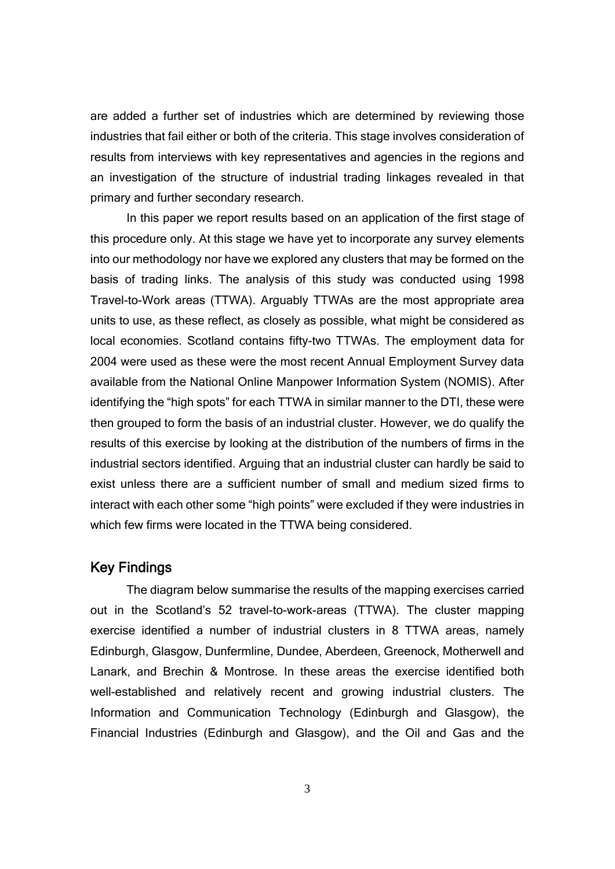are added a further set of industries which are determined by reviewing those industries that fail either or both of the criteria. This stage involves consideration of results from interviews with key representatives and agencies in the regions and an investigation of the structure of industrial trading linkages revealed in that primary and further secondary research.

In this paper we report results based on an application of the first stage of this procedure only. At this stage we have yet to incorporate any survey elements into our methodology nor have we explored any clusters that may be formed on the basis of trading links. The analysis of this study was conducted using 1998 Travel-to-Work areas (TTWA). Arguably TTWAs are the most appropriate area units to use, as these reflect, as closely as possible, what might be considered as local economies. Scotland contains fifty-two TTWAs. The employment data for 2004 were used as these were the most recent Annual Employment Survey data available from the National Online Manpower Information System (NOMIS). After identifying the "high spots" for each TTWA in similar manner to the DTI, these were then grouped to form the basis of an industrial cluster. However, we do qualify the results of this exercise by looking at the distribution of the numbers of firms in the industrial sectors identified. Arguing that an industrial cluster can hardly be said to exist unless there are a sufficient number of small and medium sized firms to interact with each other some "high points" were excluded if they were industries in which few firms were located in the TTWA being considered.

#### Key Findings

The diagram below summarise the results of the mapping exercises carried out in the Scotland's 52 travel-to-work-areas (TTWA). The cluster mapping exercise identified a number of industrial clusters in 8 TTWA areas, namely Edinburgh, Glasgow, Dunfermline, Dundee, Aberdeen, Greenock, Motherwell and Lanark, and Brechin & Montrose. In these areas the exercise identified both well-established and relatively recent and growing industrial clusters. The Information and Communication Technology (Edinburgh and Glasgow), the Financial Industries (Edinburgh and Glasgow), and the Oil and Gas and the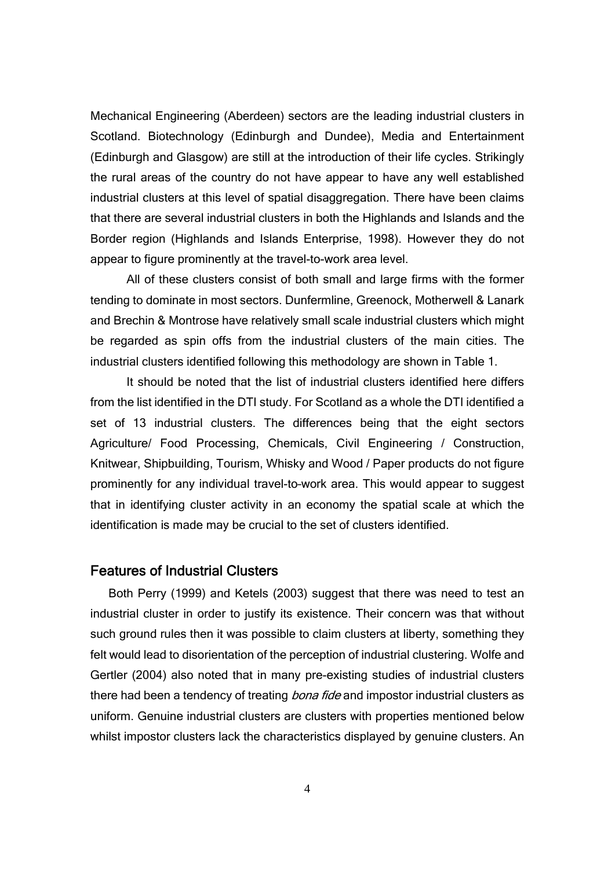Mechanical Engineering (Aberdeen) sectors are the leading industrial clusters in Scotland. Biotechnology (Edinburgh and Dundee), Media and Entertainment (Edinburgh and Glasgow) are still at the introduction of their life cycles. Strikingly the rural areas of the country do not have appear to have any well established industrial clusters at this level of spatial disaggregation. There have been claims that there are several industrial clusters in both the Highlands and Islands and the Border region (Highlands and Islands Enterprise, 1998). However they do not appear to figure prominently at the travel-to-work area level.

All of these clusters consist of both small and large firms with the former tending to dominate in most sectors. Dunfermline, Greenock, Motherwell & Lanark and Brechin & Montrose have relatively small scale industrial clusters which might be regarded as spin offs from the industrial clusters of the main cities. The industrial clusters identified following this methodology are shown in Table 1.

It should be noted that the list of industrial clusters identified here differs from the list identified in the DTI study. For Scotland as a whole the DTI identified a set of 13 industrial clusters. The differences being that the eight sectors Agriculture/ Food Processing, Chemicals, Civil Engineering / Construction, Knitwear, Shipbuilding, Tourism, Whisky and Wood / Paper products do not figure prominently for any individual travel-to–work area. This would appear to suggest that in identifying cluster activity in an economy the spatial scale at which the identification is made may be crucial to the set of clusters identified.

#### Features of Industrial Clusters

Both Perry (1999) and Ketels (2003) suggest that there was need to test an industrial cluster in order to justify its existence. Their concern was that without such ground rules then it was possible to claim clusters at liberty, something they felt would lead to disorientation of the perception of industrial clustering. Wolfe and Gertler (2004) also noted that in many pre-existing studies of industrial clusters there had been a tendency of treating *bona fide* and impostor industrial clusters as uniform. Genuine industrial clusters are clusters with properties mentioned below whilst impostor clusters lack the characteristics displayed by genuine clusters. An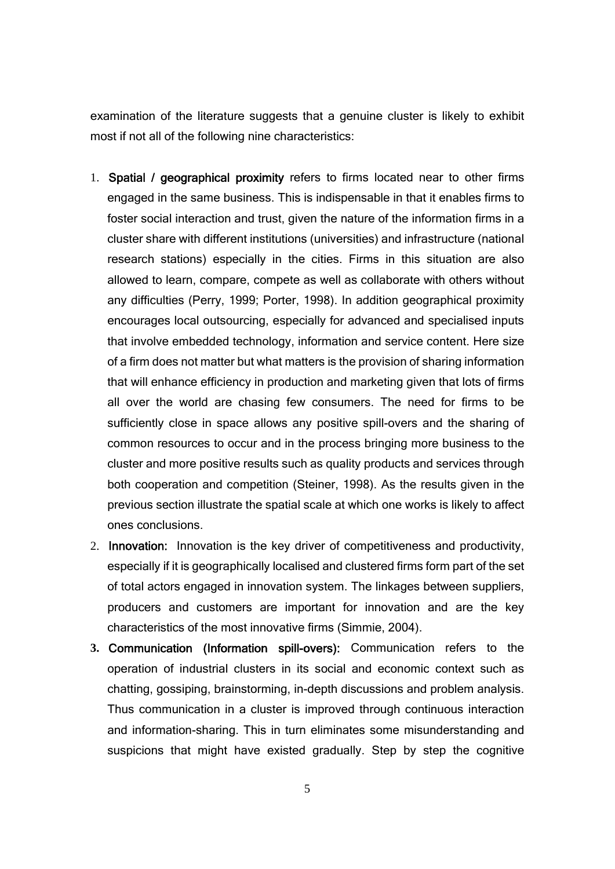examination of the literature suggests that a genuine cluster is likely to exhibit most if not all of the following nine characteristics:

- 1. Spatial / geographical proximity refers to firms located near to other firms engaged in the same business. This is indispensable in that it enables firms to foster social interaction and trust, given the nature of the information firms in a cluster share with different institutions (universities) and infrastructure (national research stations) especially in the cities. Firms in this situation are also allowed to learn, compare, compete as well as collaborate with others without any difficulties (Perry, 1999; Porter, 1998). In addition geographical proximity encourages local outsourcing, especially for advanced and specialised inputs that involve embedded technology, information and service content. Here size of a firm does not matter but what matters is the provision of sharing information that will enhance efficiency in production and marketing given that lots of firms all over the world are chasing few consumers. The need for firms to be sufficiently close in space allows any positive spill-overs and the sharing of common resources to occur and in the process bringing more business to the cluster and more positive results such as quality products and services through both cooperation and competition (Steiner, 1998). As the results given in the previous section illustrate the spatial scale at which one works is likely to affect ones conclusions.
- 2. Innovation: Innovation is the key driver of competitiveness and productivity, especially if it is geographically localised and clustered firms form part of the set of total actors engaged in innovation system. The linkages between suppliers, producers and customers are important for innovation and are the key characteristics of the most innovative firms (Simmie, 2004).
- **3.** Communication (Information spill-overs): Communication refers to the operation of industrial clusters in its social and economic context such as chatting, gossiping, brainstorming, in-depth discussions and problem analysis. Thus communication in a cluster is improved through continuous interaction and information-sharing. This in turn eliminates some misunderstanding and suspicions that might have existed gradually. Step by step the cognitive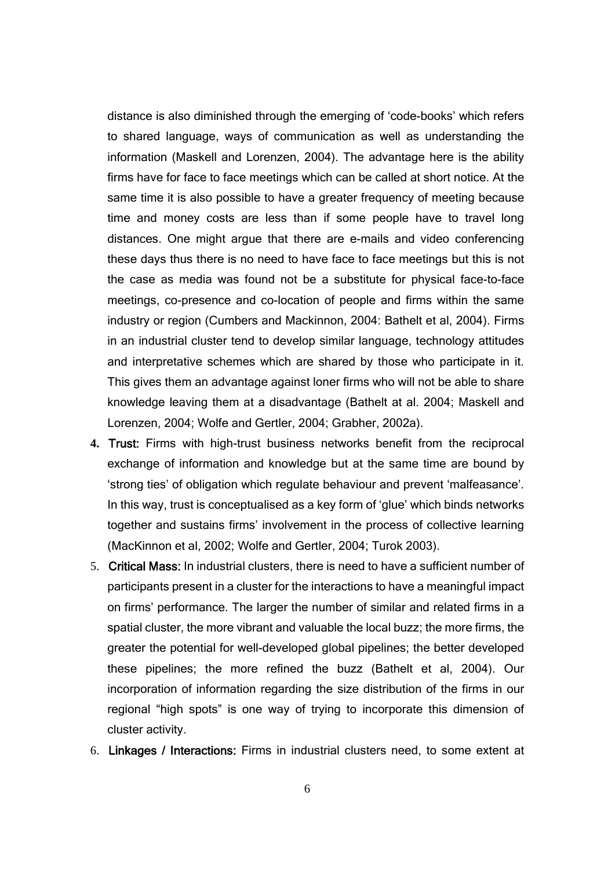distance is also diminished through the emerging of 'code-books' which refers to shared language, ways of communication as well as understanding the information (Maskell and Lorenzen, 2004). The advantage here is the ability firms have for face to face meetings which can be called at short notice. At the same time it is also possible to have a greater frequency of meeting because time and money costs are less than if some people have to travel long distances. One might argue that there are e-mails and video conferencing these days thus there is no need to have face to face meetings but this is not the case as media was found not be a substitute for physical face-to-face meetings, co-presence and co-location of people and firms within the same industry or region (Cumbers and Mackinnon, 2004: Bathelt et al, 2004). Firms in an industrial cluster tend to develop similar language, technology attitudes and interpretative schemes which are shared by those who participate in it. This gives them an advantage against loner firms who will not be able to share knowledge leaving them at a disadvantage (Bathelt at al. 2004; Maskell and Lorenzen, 2004; Wolfe and Gertler, 2004; Grabher, 2002a).

- **4.** Trust: Firms with high-trust business networks benefit from the reciprocal exchange of information and knowledge but at the same time are bound by 'strong ties' of obligation which regulate behaviour and prevent 'malfeasance'. In this way, trust is conceptualised as a key form of 'glue' which binds networks together and sustains firms' involvement in the process of collective learning (MacKinnon et al, 2002; Wolfe and Gertler, 2004; Turok 2003).
- 5. Critical Mass: In industrial clusters, there is need to have a sufficient number of participants present in a cluster for the interactions to have a meaningful impact on firms' performance. The larger the number of similar and related firms in a spatial cluster, the more vibrant and valuable the local buzz; the more firms, the greater the potential for well-developed global pipelines; the better developed these pipelines; the more refined the buzz (Bathelt et al, 2004). Our incorporation of information regarding the size distribution of the firms in our regional "high spots" is one way of trying to incorporate this dimension of cluster activity.
- 6. Linkages / Interactions: Firms in industrial clusters need, to some extent at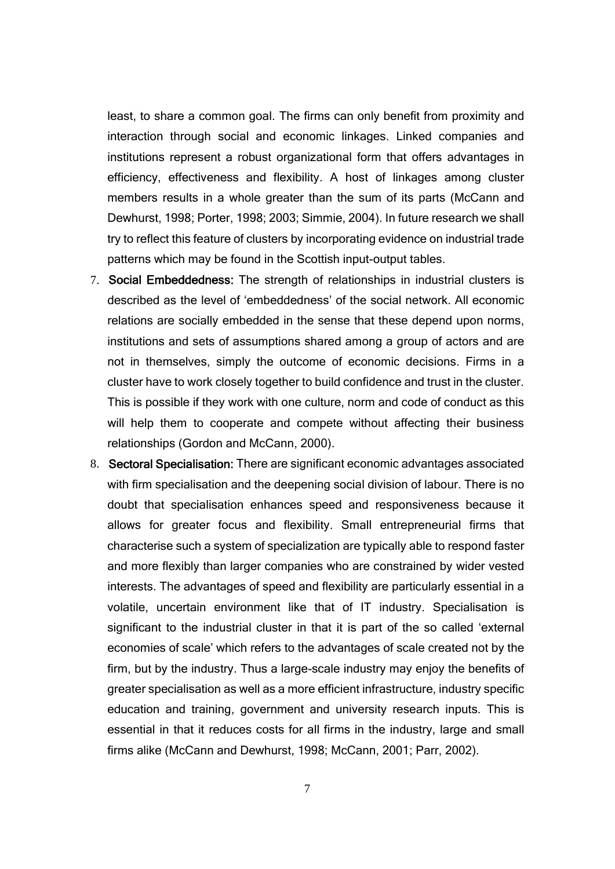least, to share a common goal. The firms can only benefit from proximity and interaction through social and economic linkages. Linked companies and institutions represent a robust organizational form that offers advantages in efficiency, effectiveness and flexibility. A host of linkages among cluster members results in a whole greater than the sum of its parts (McCann and Dewhurst, 1998; Porter, 1998; 2003; Simmie, 2004). In future research we shall try to reflect this feature of clusters by incorporating evidence on industrial trade patterns which may be found in the Scottish input-output tables.

- 7. Social Embeddedness: The strength of relationships in industrial clusters is described as the level of 'embeddedness' of the social network. All economic relations are socially embedded in the sense that these depend upon norms, institutions and sets of assumptions shared among a group of actors and are not in themselves, simply the outcome of economic decisions. Firms in a cluster have to work closely together to build confidence and trust in the cluster. This is possible if they work with one culture, norm and code of conduct as this will help them to cooperate and compete without affecting their business relationships (Gordon and McCann, 2000).
- 8. Sectoral Specialisation: There are significant economic advantages associated with firm specialisation and the deepening social division of labour. There is no doubt that specialisation enhances speed and responsiveness because it allows for greater focus and flexibility. Small entrepreneurial firms that characterise such a system of specialization are typically able to respond faster and more flexibly than larger companies who are constrained by wider vested interests. The advantages of speed and flexibility are particularly essential in a volatile, uncertain environment like that of IT industry. Specialisation is significant to the industrial cluster in that it is part of the so called 'external economies of scale' which refers to the advantages of scale created not by the firm, but by the industry. Thus a large-scale industry may enjoy the benefits of greater specialisation as well as a more efficient infrastructure, industry specific education and training, government and university research inputs. This is essential in that it reduces costs for all firms in the industry, large and small firms alike (McCann and Dewhurst, 1998; McCann, 2001; Parr, 2002).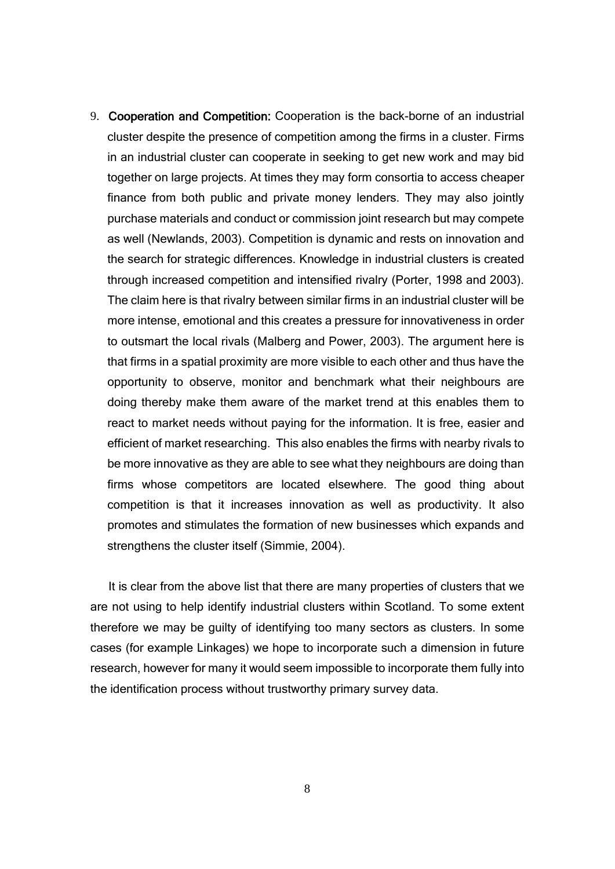9. Cooperation and Competition: Cooperation is the back-borne of an industrial cluster despite the presence of competition among the firms in a cluster. Firms in an industrial cluster can cooperate in seeking to get new work and may bid together on large projects. At times they may form consortia to access cheaper finance from both public and private money lenders. They may also jointly purchase materials and conduct or commission joint research but may compete as well (Newlands, 2003). Competition is dynamic and rests on innovation and the search for strategic differences. Knowledge in industrial clusters is created through increased competition and intensified rivalry (Porter, 1998 and 2003). The claim here is that rivalry between similar firms in an industrial cluster will be more intense, emotional and this creates a pressure for innovativeness in order to outsmart the local rivals (Malberg and Power, 2003). The argument here is that firms in a spatial proximity are more visible to each other and thus have the opportunity to observe, monitor and benchmark what their neighbours are doing thereby make them aware of the market trend at this enables them to react to market needs without paying for the information. It is free, easier and efficient of market researching. This also enables the firms with nearby rivals to be more innovative as they are able to see what they neighbours are doing than firms whose competitors are located elsewhere. The good thing about competition is that it increases innovation as well as productivity. It also promotes and stimulates the formation of new businesses which expands and strengthens the cluster itself (Simmie, 2004).

It is clear from the above list that there are many properties of clusters that we are not using to help identify industrial clusters within Scotland. To some extent therefore we may be guilty of identifying too many sectors as clusters. In some cases (for example Linkages) we hope to incorporate such a dimension in future research, however for many it would seem impossible to incorporate them fully into the identification process without trustworthy primary survey data.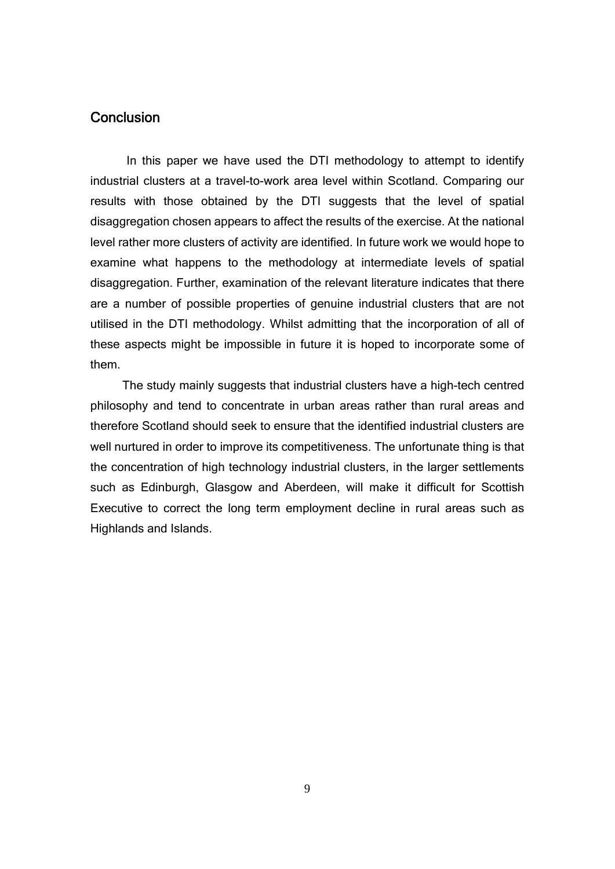### **Conclusion**

In this paper we have used the DTI methodology to attempt to identify industrial clusters at a travel-to-work area level within Scotland. Comparing our results with those obtained by the DTI suggests that the level of spatial disaggregation chosen appears to affect the results of the exercise. At the national level rather more clusters of activity are identified. In future work we would hope to examine what happens to the methodology at intermediate levels of spatial disaggregation. Further, examination of the relevant literature indicates that there are a number of possible properties of genuine industrial clusters that are not utilised in the DTI methodology. Whilst admitting that the incorporation of all of these aspects might be impossible in future it is hoped to incorporate some of them.

 The study mainly suggests that industrial clusters have a high-tech centred philosophy and tend to concentrate in urban areas rather than rural areas and therefore Scotland should seek to ensure that the identified industrial clusters are well nurtured in order to improve its competitiveness. The unfortunate thing is that the concentration of high technology industrial clusters, in the larger settlements such as Edinburgh, Glasgow and Aberdeen, will make it difficult for Scottish Executive to correct the long term employment decline in rural areas such as Highlands and Islands.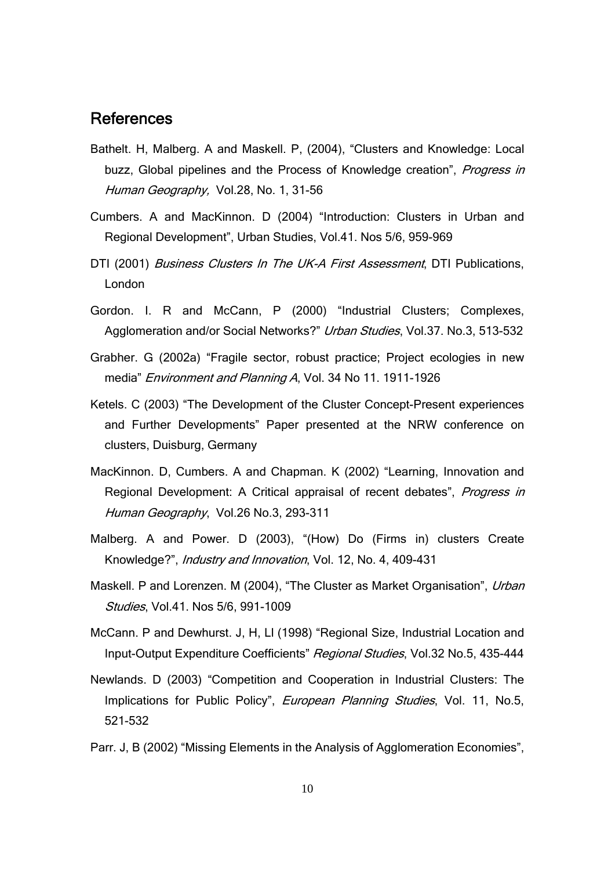## References

- Bathelt. H, Malberg. A and Maskell. P, (2004), "Clusters and Knowledge: Local buzz, Global pipelines and the Process of Knowledge creation", Progress in Human Geography, Vol.28, No. 1, 31-56
- Cumbers. A and MacKinnon. D (2004) "Introduction: Clusters in Urban and Regional Development", Urban Studies, Vol.41. Nos 5/6, 959-969
- DTI (2001) Business Clusters In The UK-A First Assessment, DTI Publications, London
- Gordon. I. R and McCann, P (2000) "Industrial Clusters; Complexes, Agglomeration and/or Social Networks?" Urban Studies, Vol.37. No.3, 513-532
- Grabher. G (2002a) "Fragile sector, robust practice; Project ecologies in new media" Environment and Planning A, Vol. 34 No 11. 1911-1926
- Ketels. C (2003) "The Development of the Cluster Concept-Present experiences and Further Developments" Paper presented at the NRW conference on clusters, Duisburg, Germany
- MacKinnon. D, Cumbers. A and Chapman. K (2002) "Learning, Innovation and Regional Development: A Critical appraisal of recent debates", *Progress in* Human Geography, Vol.26 No.3, 293-311
- Malberg. A and Power. D (2003), "(How) Do (Firms in) clusters Create Knowledge?", Industry and Innovation, Vol. 12, No. 4, 409-431
- Maskell. P and Lorenzen. M (2004), "The Cluster as Market Organisation", Urban Studies, Vol.41. Nos 5/6, 991-1009
- McCann. P and Dewhurst. J, H, Ll (1998) "Regional Size, Industrial Location and Input-Output Expenditure Coefficients" Regional Studies, Vol.32 No.5, 435-444
- Newlands. D (2003) "Competition and Cooperation in Industrial Clusters: The Implications for Public Policy", European Planning Studies, Vol. 11, No.5, 521-532
- Parr. J, B (2002) "Missing Elements in the Analysis of Agglomeration Economies",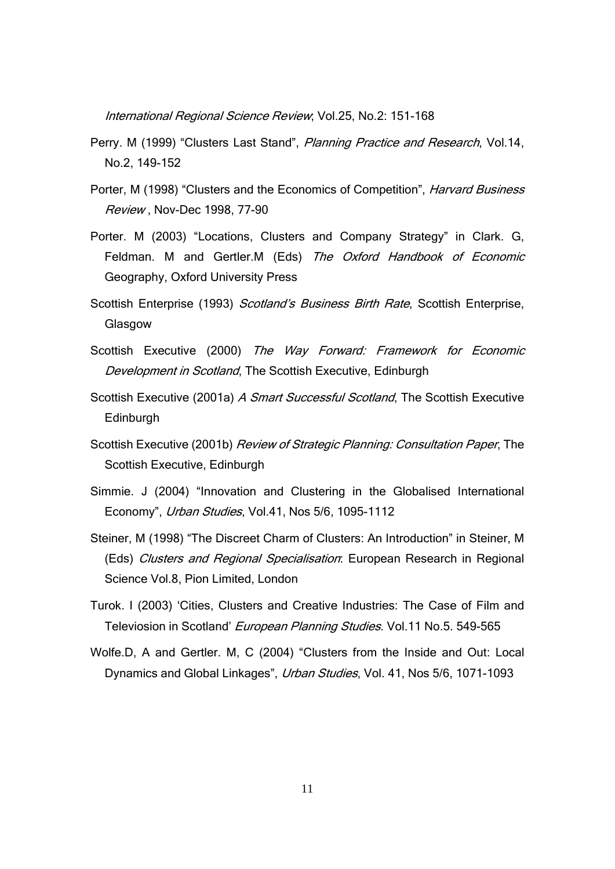International Regional Science Review; Vol.25, No.2: 151-168

- Perry. M (1999) "Clusters Last Stand", Planning Practice and Research, Vol.14, No.2, 149-152
- Porter, M (1998) "Clusters and the Economics of Competition", Harvard Business Review , Nov-Dec 1998, 77-90
- Porter. M (2003) "Locations, Clusters and Company Strategy" in Clark. G, Feldman. M and Gertler.M (Eds) The Oxford Handbook of Economic Geography, Oxford University Press
- Scottish Enterprise (1993) Scotland's Business Birth Rate, Scottish Enterprise, **Glasgow**
- Scottish Executive (2000) The Way Forward: Framework for Economic Development in Scotland, The Scottish Executive, Edinburgh
- Scottish Executive (2001a) A Smart Successful Scotland, The Scottish Executive Edinburgh
- Scottish Executive (2001b) Review of Strategic Planning: Consultation Paper, The Scottish Executive, Edinburgh
- Simmie. J (2004) "Innovation and Clustering in the Globalised International Economy", Urban Studies, Vol.41, Nos 5/6, 1095-1112
- Steiner, M (1998) "The Discreet Charm of Clusters: An Introduction" in Steiner, M (Eds) Clusters and Regional Specialisation: European Research in Regional Science Vol.8, Pion Limited, London
- Turok. I (2003) 'Cities, Clusters and Creative Industries: The Case of Film and Televiosion in Scotland' European Planning Studies. Vol.11 No.5. 549-565
- Wolfe.D, A and Gertler. M, C (2004) "Clusters from the Inside and Out: Local Dynamics and Global Linkages", Urban Studies, Vol. 41, Nos 5/6, 1071-1093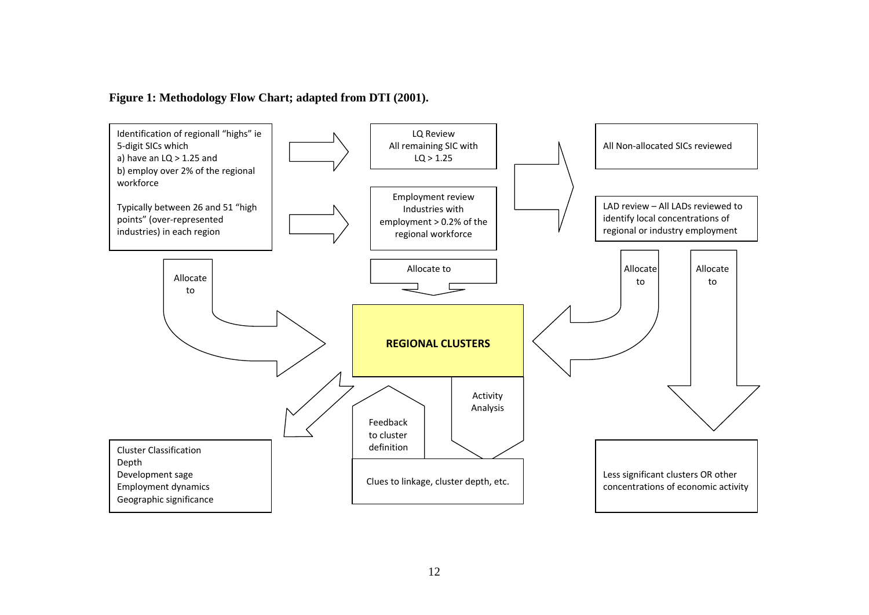#### **Figure 1: Methodology Flow Chart; adapted from DTI (2001).**